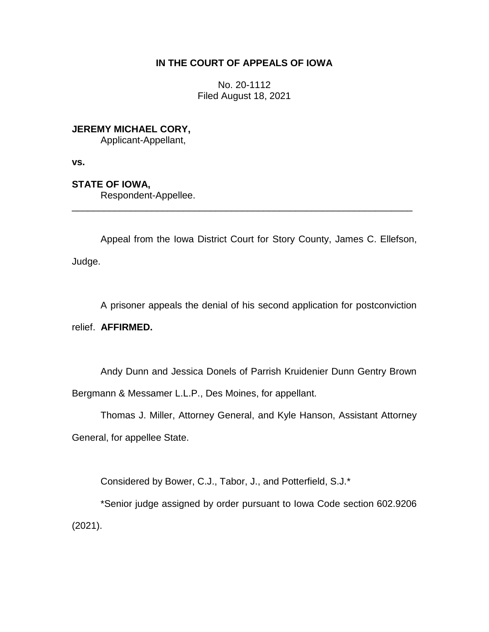# **IN THE COURT OF APPEALS OF IOWA**

No. 20-1112 Filed August 18, 2021

**JEREMY MICHAEL CORY,**

Applicant-Appellant,

**vs.**

**STATE OF IOWA,**

Respondent-Appellee.

Appeal from the Iowa District Court for Story County, James C. Ellefson, Judge.

\_\_\_\_\_\_\_\_\_\_\_\_\_\_\_\_\_\_\_\_\_\_\_\_\_\_\_\_\_\_\_\_\_\_\_\_\_\_\_\_\_\_\_\_\_\_\_\_\_\_\_\_\_\_\_\_\_\_\_\_\_\_\_\_

A prisoner appeals the denial of his second application for postconviction relief. **AFFIRMED.**

Andy Dunn and Jessica Donels of Parrish Kruidenier Dunn Gentry Brown Bergmann & Messamer L.L.P., Des Moines, for appellant.

Thomas J. Miller, Attorney General, and Kyle Hanson, Assistant Attorney General, for appellee State.

Considered by Bower, C.J., Tabor, J., and Potterfield, S.J.\*

\*Senior judge assigned by order pursuant to Iowa Code section 602.9206 (2021).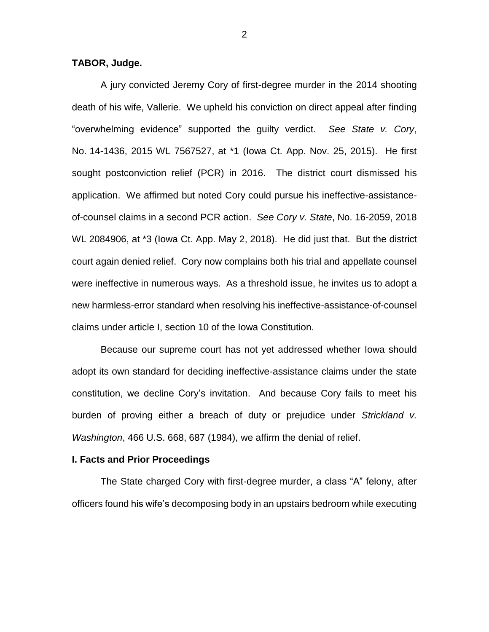## **TABOR, Judge.**

A jury convicted Jeremy Cory of first-degree murder in the 2014 shooting death of his wife, Vallerie. We upheld his conviction on direct appeal after finding "overwhelming evidence" supported the guilty verdict. *See State v. Cory*, No. 14-1436, 2015 WL 7567527, at \*1 (Iowa Ct. App. Nov. 25, 2015). He first sought postconviction relief (PCR) in 2016. The district court dismissed his application. We affirmed but noted Cory could pursue his ineffective-assistanceof-counsel claims in a second PCR action. *See Cory v. State*, No. 16-2059, 2018 WL 2084906, at \*3 (Iowa Ct. App. May 2, 2018). He did just that. But the district court again denied relief. Cory now complains both his trial and appellate counsel were ineffective in numerous ways. As a threshold issue, he invites us to adopt a new harmless-error standard when resolving his ineffective-assistance-of-counsel claims under article I, section 10 of the Iowa Constitution.

Because our supreme court has not yet addressed whether Iowa should adopt its own standard for deciding ineffective-assistance claims under the state constitution, we decline Cory's invitation. And because Cory fails to meet his burden of proving either a breach of duty or prejudice under *Strickland v. Washington*, 466 U.S. 668, 687 (1984), we affirm the denial of relief.

## **I. Facts and Prior Proceedings**

The State charged Cory with first-degree murder, a class "A" felony, after officers found his wife's decomposing body in an upstairs bedroom while executing

2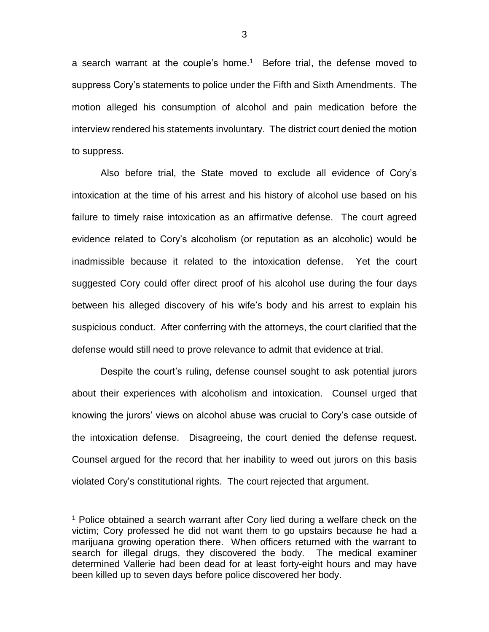a search warrant at the couple's home.<sup>1</sup> Before trial, the defense moved to suppress Cory's statements to police under the Fifth and Sixth Amendments. The motion alleged his consumption of alcohol and pain medication before the interview rendered his statements involuntary. The district court denied the motion to suppress.

Also before trial, the State moved to exclude all evidence of Cory's intoxication at the time of his arrest and his history of alcohol use based on his failure to timely raise intoxication as an affirmative defense. The court agreed evidence related to Cory's alcoholism (or reputation as an alcoholic) would be inadmissible because it related to the intoxication defense. Yet the court suggested Cory could offer direct proof of his alcohol use during the four days between his alleged discovery of his wife's body and his arrest to explain his suspicious conduct. After conferring with the attorneys, the court clarified that the defense would still need to prove relevance to admit that evidence at trial.

Despite the court's ruling, defense counsel sought to ask potential jurors about their experiences with alcoholism and intoxication. Counsel urged that knowing the jurors' views on alcohol abuse was crucial to Cory's case outside of the intoxication defense. Disagreeing, the court denied the defense request. Counsel argued for the record that her inability to weed out jurors on this basis violated Cory's constitutional rights. The court rejected that argument.

 $\overline{a}$ 

<sup>&</sup>lt;sup>1</sup> Police obtained a search warrant after Cory lied during a welfare check on the victim; Cory professed he did not want them to go upstairs because he had a marijuana growing operation there. When officers returned with the warrant to search for illegal drugs, they discovered the body. The medical examiner determined Vallerie had been dead for at least forty-eight hours and may have been killed up to seven days before police discovered her body.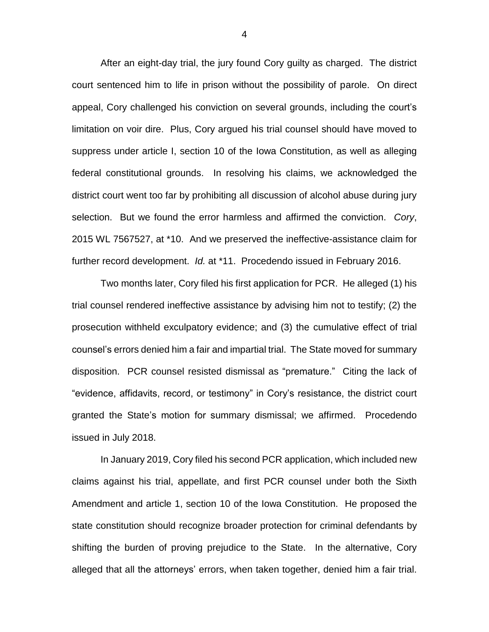After an eight-day trial, the jury found Cory guilty as charged. The district court sentenced him to life in prison without the possibility of parole. On direct appeal, Cory challenged his conviction on several grounds, including the court's limitation on voir dire. Plus, Cory argued his trial counsel should have moved to suppress under article I, section 10 of the Iowa Constitution, as well as alleging federal constitutional grounds. In resolving his claims, we acknowledged the district court went too far by prohibiting all discussion of alcohol abuse during jury selection. But we found the error harmless and affirmed the conviction. *Cory*, 2015 WL 7567527, at \*10. And we preserved the ineffective-assistance claim for further record development. *Id.* at \*11. Procedendo issued in February 2016.

Two months later, Cory filed his first application for PCR. He alleged (1) his trial counsel rendered ineffective assistance by advising him not to testify; (2) the prosecution withheld exculpatory evidence; and (3) the cumulative effect of trial counsel's errors denied him a fair and impartial trial. The State moved for summary disposition. PCR counsel resisted dismissal as "premature." Citing the lack of "evidence, affidavits, record, or testimony" in Cory's resistance, the district court granted the State's motion for summary dismissal; we affirmed. Procedendo issued in July 2018.

In January 2019, Cory filed his second PCR application, which included new claims against his trial, appellate, and first PCR counsel under both the Sixth Amendment and article 1, section 10 of the Iowa Constitution. He proposed the state constitution should recognize broader protection for criminal defendants by shifting the burden of proving prejudice to the State. In the alternative, Cory alleged that all the attorneys' errors, when taken together, denied him a fair trial.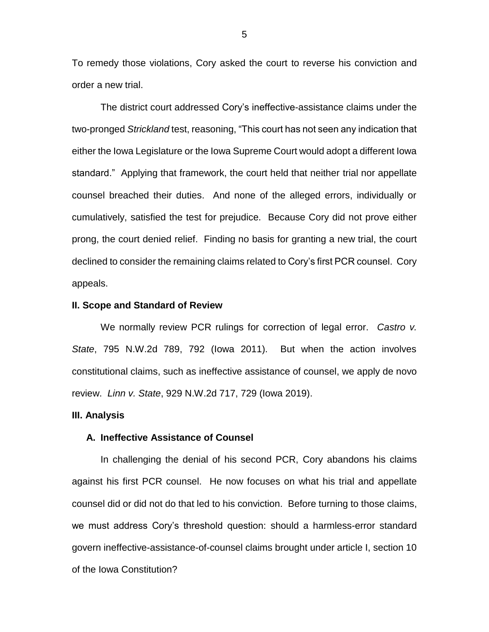To remedy those violations, Cory asked the court to reverse his conviction and order a new trial.

The district court addressed Cory's ineffective-assistance claims under the two-pronged *Strickland* test, reasoning, "This court has not seen any indication that either the Iowa Legislature or the Iowa Supreme Court would adopt a different Iowa standard." Applying that framework, the court held that neither trial nor appellate counsel breached their duties. And none of the alleged errors, individually or cumulatively, satisfied the test for prejudice. Because Cory did not prove either prong, the court denied relief. Finding no basis for granting a new trial, the court declined to consider the remaining claims related to Cory's first PCR counsel. Cory appeals.

#### **II. Scope and Standard of Review**

We normally review PCR rulings for correction of legal error. *Castro v. State*, 795 N.W.2d 789, 792 (Iowa 2011). But when the action involves constitutional claims, such as ineffective assistance of counsel, we apply de novo review. *Linn v. State*, 929 N.W.2d 717, 729 (Iowa 2019).

#### **III. Analysis**

#### **A. Ineffective Assistance of Counsel**

In challenging the denial of his second PCR, Cory abandons his claims against his first PCR counsel. He now focuses on what his trial and appellate counsel did or did not do that led to his conviction. Before turning to those claims, we must address Cory's threshold question: should a harmless-error standard govern ineffective-assistance-of-counsel claims brought under article I, section 10 of the Iowa Constitution?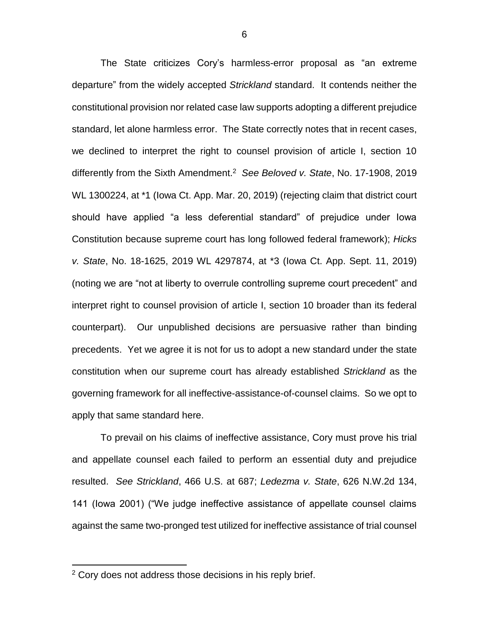The State criticizes Cory's harmless-error proposal as "an extreme departure" from the widely accepted *Strickland* standard. It contends neither the constitutional provision nor related case law supports adopting a different prejudice standard, let alone harmless error. The State correctly notes that in recent cases, we declined to interpret the right to counsel provision of article I, section 10 differently from the Sixth Amendment.<sup>2</sup> *See Beloved v. State*, No. 17-1908, 2019 WL 1300224, at \*1 (Iowa Ct. App. Mar. 20, 2019) (rejecting claim that district court should have applied "a less deferential standard" of prejudice under Iowa Constitution because supreme court has long followed federal framework); *Hicks v. State*, No. 18-1625, 2019 WL 4297874, at \*3 (Iowa Ct. App. Sept. 11, 2019) (noting we are "not at liberty to overrule controlling supreme court precedent" and interpret right to counsel provision of article I, section 10 broader than its federal counterpart). Our unpublished decisions are persuasive rather than binding precedents. Yet we agree it is not for us to adopt a new standard under the state constitution when our supreme court has already established *Strickland* as the governing framework for all ineffective-assistance-of-counsel claims. So we opt to apply that same standard here.

To prevail on his claims of ineffective assistance, Cory must prove his trial and appellate counsel each failed to perform an essential duty and prejudice resulted. *See Strickland*, 466 U.S. at 687; *Ledezma v. State*, 626 N.W.2d 134, 141 (Iowa 2001) ("We judge ineffective assistance of appellate counsel claims against the same two-pronged test utilized for ineffective assistance of trial counsel

 $\overline{a}$ 

<sup>&</sup>lt;sup>2</sup> Cory does not address those decisions in his reply brief.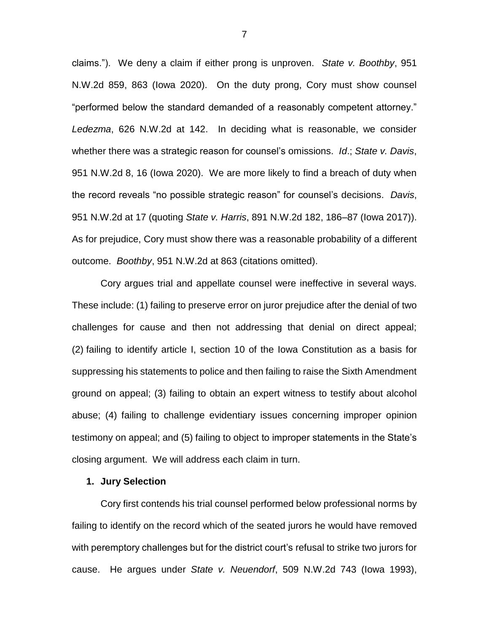claims."). We deny a claim if either prong is unproven. *State v. Boothby*, 951 N.W.2d 859, 863 (Iowa 2020). On the duty prong, Cory must show counsel "performed below the standard demanded of a reasonably competent attorney." *Ledezma*, 626 N.W.2d at 142. In deciding what is reasonable, we consider whether there was a strategic reason for counsel's omissions. *Id*.; *State v. Davis*, 951 N.W.2d 8, 16 (Iowa 2020). We are more likely to find a breach of duty when the record reveals "no possible strategic reason" for counsel's decisions. *Davis*, 951 N.W.2d at 17 (quoting *State v. Harris*, 891 N.W.2d 182, 186–87 (Iowa 2017)). As for prejudice, Cory must show there was a reasonable probability of a different outcome. *Boothby*, 951 N.W.2d at 863 (citations omitted).

Cory argues trial and appellate counsel were ineffective in several ways. These include: (1) failing to preserve error on juror prejudice after the denial of two challenges for cause and then not addressing that denial on direct appeal; (2) failing to identify article I, section 10 of the Iowa Constitution as a basis for suppressing his statements to police and then failing to raise the Sixth Amendment ground on appeal; (3) failing to obtain an expert witness to testify about alcohol abuse; (4) failing to challenge evidentiary issues concerning improper opinion testimony on appeal; and (5) failing to object to improper statements in the State's closing argument. We will address each claim in turn.

## **1. Jury Selection**

Cory first contends his trial counsel performed below professional norms by failing to identify on the record which of the seated jurors he would have removed with peremptory challenges but for the district court's refusal to strike two jurors for cause. He argues under *State v. Neuendorf*, 509 N.W.2d 743 (Iowa 1993),

7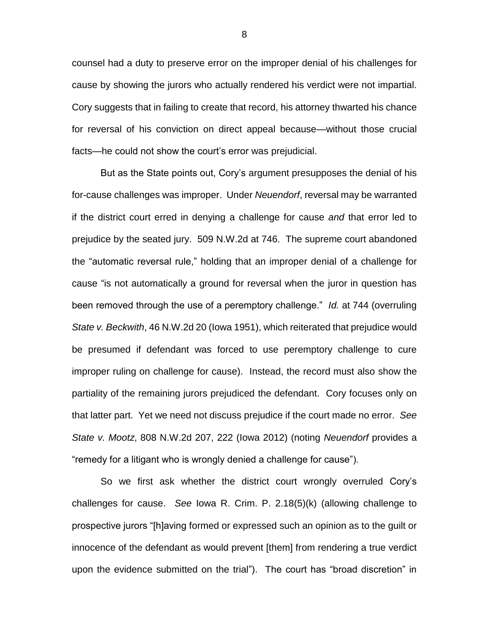counsel had a duty to preserve error on the improper denial of his challenges for cause by showing the jurors who actually rendered his verdict were not impartial. Cory suggests that in failing to create that record, his attorney thwarted his chance for reversal of his conviction on direct appeal because—without those crucial facts—he could not show the court's error was prejudicial.

But as the State points out, Cory's argument presupposes the denial of his for-cause challenges was improper. Under *Neuendorf*, reversal may be warranted if the district court erred in denying a challenge for cause *and* that error led to prejudice by the seated jury. 509 N.W.2d at 746. The supreme court abandoned the "automatic reversal rule," holding that an improper denial of a challenge for cause "is not automatically a ground for reversal when the juror in question has been removed through the use of a peremptory challenge." *Id.* at 744 (overruling *State v. Beckwith*, 46 N.W.2d 20 (Iowa 1951), which reiterated that prejudice would be presumed if defendant was forced to use peremptory challenge to cure improper ruling on challenge for cause). Instead, the record must also show the partiality of the remaining jurors prejudiced the defendant. Cory focuses only on that latter part. Yet we need not discuss prejudice if the court made no error. *See State v. Mootz*, 808 N.W.2d 207, 222 (Iowa 2012) (noting *Neuendorf* provides a "remedy for a litigant who is wrongly denied a challenge for cause").

So we first ask whether the district court wrongly overruled Cory's challenges for cause. *See* Iowa R. Crim. P. 2.18(5)(k) (allowing challenge to prospective jurors "[h]aving formed or expressed such an opinion as to the guilt or innocence of the defendant as would prevent [them] from rendering a true verdict upon the evidence submitted on the trial"). The court has "broad discretion" in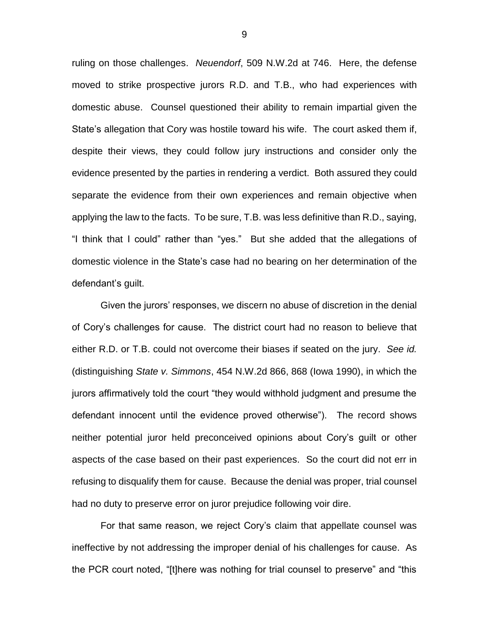ruling on those challenges. *Neuendorf*, 509 N.W.2d at 746. Here, the defense moved to strike prospective jurors R.D. and T.B., who had experiences with domestic abuse. Counsel questioned their ability to remain impartial given the State's allegation that Cory was hostile toward his wife. The court asked them if, despite their views, they could follow jury instructions and consider only the evidence presented by the parties in rendering a verdict. Both assured they could separate the evidence from their own experiences and remain objective when applying the law to the facts. To be sure, T.B. was less definitive than R.D., saying, "I think that I could" rather than "yes." But she added that the allegations of domestic violence in the State's case had no bearing on her determination of the defendant's guilt.

Given the jurors' responses, we discern no abuse of discretion in the denial of Cory's challenges for cause. The district court had no reason to believe that either R.D. or T.B. could not overcome their biases if seated on the jury. *See id.* (distinguishing *State v. Simmons*, 454 N.W.2d 866, 868 (Iowa 1990), in which the jurors affirmatively told the court "they would withhold judgment and presume the defendant innocent until the evidence proved otherwise"). The record shows neither potential juror held preconceived opinions about Cory's guilt or other aspects of the case based on their past experiences. So the court did not err in refusing to disqualify them for cause. Because the denial was proper, trial counsel had no duty to preserve error on juror prejudice following voir dire.

For that same reason, we reject Cory's claim that appellate counsel was ineffective by not addressing the improper denial of his challenges for cause. As the PCR court noted, "[t]here was nothing for trial counsel to preserve" and "this

9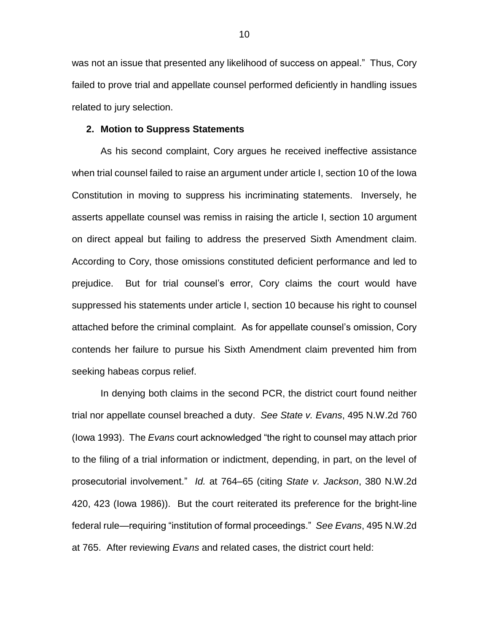was not an issue that presented any likelihood of success on appeal." Thus, Cory failed to prove trial and appellate counsel performed deficiently in handling issues related to jury selection.

### **2. Motion to Suppress Statements**

As his second complaint, Cory argues he received ineffective assistance when trial counsel failed to raise an argument under article I, section 10 of the Iowa Constitution in moving to suppress his incriminating statements. Inversely, he asserts appellate counsel was remiss in raising the article I, section 10 argument on direct appeal but failing to address the preserved Sixth Amendment claim. According to Cory, those omissions constituted deficient performance and led to prejudice. But for trial counsel's error, Cory claims the court would have suppressed his statements under article I, section 10 because his right to counsel attached before the criminal complaint. As for appellate counsel's omission, Cory contends her failure to pursue his Sixth Amendment claim prevented him from seeking habeas corpus relief.

In denying both claims in the second PCR, the district court found neither trial nor appellate counsel breached a duty. *See State v. Evans*, 495 N.W.2d 760 (Iowa 1993). The *Evans* court acknowledged "the right to counsel may attach prior to the filing of a trial information or indictment, depending, in part, on the level of prosecutorial involvement." *Id.* at 764–65 (citing *State v. Jackson*, 380 N.W.2d 420, 423 (Iowa 1986)). But the court reiterated its preference for the bright-line federal rule—requiring "institution of formal proceedings." *See Evans*, 495 N.W.2d at 765. After reviewing *Evans* and related cases, the district court held: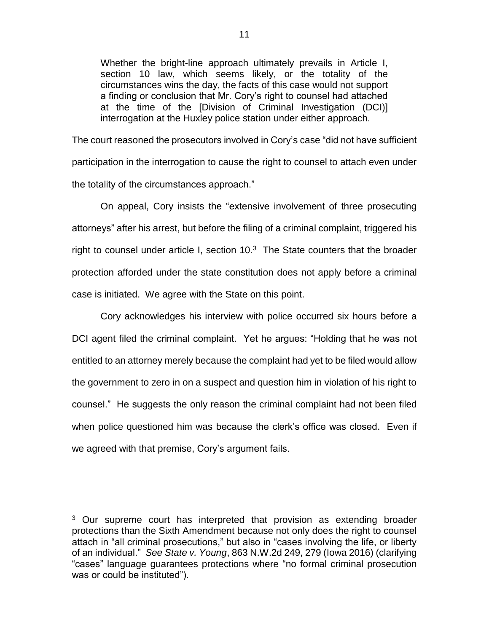Whether the bright-line approach ultimately prevails in Article I, section 10 law, which seems likely, or the totality of the circumstances wins the day, the facts of this case would not support a finding or conclusion that Mr. Cory's right to counsel had attached at the time of the [Division of Criminal Investigation (DCI)] interrogation at the Huxley police station under either approach.

The court reasoned the prosecutors involved in Cory's case "did not have sufficient participation in the interrogation to cause the right to counsel to attach even under the totality of the circumstances approach."

On appeal, Cory insists the "extensive involvement of three prosecuting attorneys" after his arrest, but before the filing of a criminal complaint, triggered his right to counsel under article I, section  $10<sup>3</sup>$  The State counters that the broader protection afforded under the state constitution does not apply before a criminal case is initiated. We agree with the State on this point.

Cory acknowledges his interview with police occurred six hours before a DCI agent filed the criminal complaint. Yet he argues: "Holding that he was not entitled to an attorney merely because the complaint had yet to be filed would allow the government to zero in on a suspect and question him in violation of his right to counsel." He suggests the only reason the criminal complaint had not been filed when police questioned him was because the clerk's office was closed. Even if we agreed with that premise, Cory's argument fails.

 $\overline{a}$ 

<sup>&</sup>lt;sup>3</sup> Our supreme court has interpreted that provision as extending broader protections than the Sixth Amendment because not only does the right to counsel attach in "all criminal prosecutions," but also in "cases involving the life, or liberty of an individual." *See State v. Young*, 863 N.W.2d 249, 279 (Iowa 2016) (clarifying "cases" language guarantees protections where "no formal criminal prosecution was or could be instituted").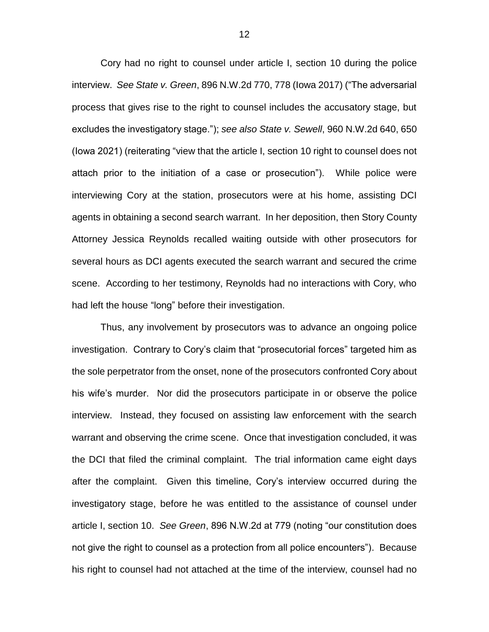Cory had no right to counsel under article I, section 10 during the police interview. *See State v. Green*, 896 N.W.2d 770, 778 (Iowa 2017) ("The adversarial process that gives rise to the right to counsel includes the accusatory stage, but excludes the investigatory stage."); *see also State v. Sewell*, 960 N.W.2d 640, 650 (Iowa 2021) (reiterating "view that the article I, section 10 right to counsel does not attach prior to the initiation of a case or prosecution"). While police were interviewing Cory at the station, prosecutors were at his home, assisting DCI agents in obtaining a second search warrant. In her deposition, then Story County Attorney Jessica Reynolds recalled waiting outside with other prosecutors for several hours as DCI agents executed the search warrant and secured the crime scene. According to her testimony, Reynolds had no interactions with Cory, who had left the house "long" before their investigation.

Thus, any involvement by prosecutors was to advance an ongoing police investigation. Contrary to Cory's claim that "prosecutorial forces" targeted him as the sole perpetrator from the onset, none of the prosecutors confronted Cory about his wife's murder. Nor did the prosecutors participate in or observe the police interview. Instead, they focused on assisting law enforcement with the search warrant and observing the crime scene. Once that investigation concluded, it was the DCI that filed the criminal complaint. The trial information came eight days after the complaint. Given this timeline, Cory's interview occurred during the investigatory stage, before he was entitled to the assistance of counsel under article I, section 10. *See Green*, 896 N.W.2d at 779 (noting "our constitution does not give the right to counsel as a protection from all police encounters"). Because his right to counsel had not attached at the time of the interview, counsel had no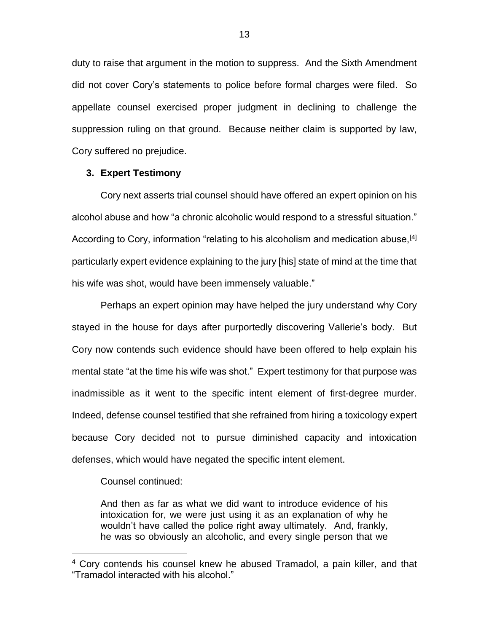duty to raise that argument in the motion to suppress. And the Sixth Amendment did not cover Cory's statements to police before formal charges were filed. So appellate counsel exercised proper judgment in declining to challenge the suppression ruling on that ground. Because neither claim is supported by law, Cory suffered no prejudice.

## **3. Expert Testimony**

Cory next asserts trial counsel should have offered an expert opinion on his alcohol abuse and how "a chronic alcoholic would respond to a stressful situation." According to Cory, information "relating to his alcoholism and medication abuse,  $[4]$ particularly expert evidence explaining to the jury [his] state of mind at the time that his wife was shot, would have been immensely valuable."

Perhaps an expert opinion may have helped the jury understand why Cory stayed in the house for days after purportedly discovering Vallerie's body. But Cory now contends such evidence should have been offered to help explain his mental state "at the time his wife was shot." Expert testimony for that purpose was inadmissible as it went to the specific intent element of first-degree murder. Indeed, defense counsel testified that she refrained from hiring a toxicology expert because Cory decided not to pursue diminished capacity and intoxication defenses, which would have negated the specific intent element.

Counsel continued:

 $\overline{a}$ 

And then as far as what we did want to introduce evidence of his intoxication for, we were just using it as an explanation of why he wouldn't have called the police right away ultimately. And, frankly, he was so obviously an alcoholic, and every single person that we

<sup>4</sup> Cory contends his counsel knew he abused Tramadol, a pain killer, and that "Tramadol interacted with his alcohol."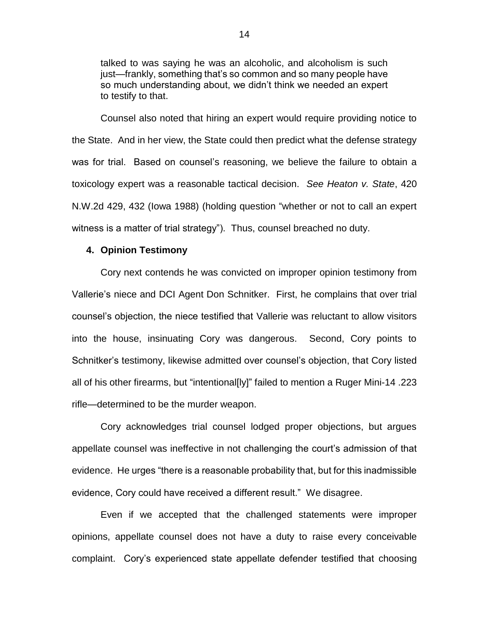talked to was saying he was an alcoholic, and alcoholism is such just—frankly, something that's so common and so many people have so much understanding about, we didn't think we needed an expert to testify to that.

Counsel also noted that hiring an expert would require providing notice to the State. And in her view, the State could then predict what the defense strategy was for trial. Based on counsel's reasoning, we believe the failure to obtain a toxicology expert was a reasonable tactical decision. *See Heaton v. State*, 420 N.W.2d 429, 432 (Iowa 1988) (holding question "whether or not to call an expert witness is a matter of trial strategy"). Thus, counsel breached no duty.

## **4. Opinion Testimony**

Cory next contends he was convicted on improper opinion testimony from Vallerie's niece and DCI Agent Don Schnitker. First, he complains that over trial counsel's objection, the niece testified that Vallerie was reluctant to allow visitors into the house, insinuating Cory was dangerous. Second, Cory points to Schnitker's testimony, likewise admitted over counsel's objection, that Cory listed all of his other firearms, but "intentional[ly]" failed to mention a Ruger Mini-14 .223 rifle—determined to be the murder weapon.

Cory acknowledges trial counsel lodged proper objections, but argues appellate counsel was ineffective in not challenging the court's admission of that evidence. He urges "there is a reasonable probability that, but for this inadmissible evidence, Cory could have received a different result." We disagree.

Even if we accepted that the challenged statements were improper opinions, appellate counsel does not have a duty to raise every conceivable complaint. Cory's experienced state appellate defender testified that choosing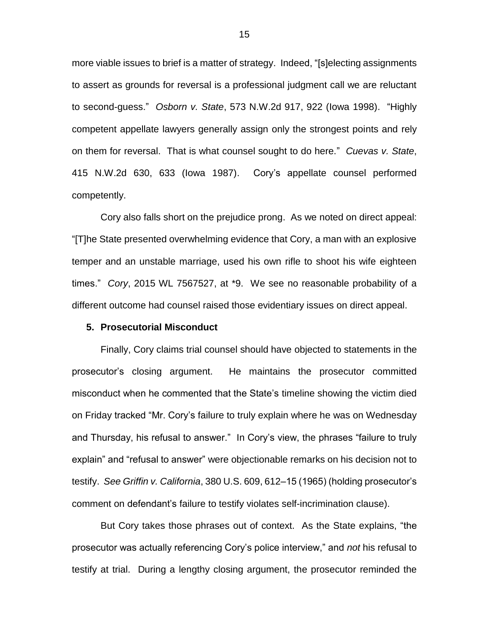more viable issues to brief is a matter of strategy. Indeed, "[s]electing assignments to assert as grounds for reversal is a professional judgment call we are reluctant to second-guess." *Osborn v. State*, 573 N.W.2d 917, 922 (Iowa 1998). "Highly competent appellate lawyers generally assign only the strongest points and rely on them for reversal. That is what counsel sought to do here." *Cuevas v. State*, 415 N.W.2d 630, 633 (Iowa 1987). Cory's appellate counsel performed competently.

Cory also falls short on the prejudice prong. As we noted on direct appeal: "[T]he State presented overwhelming evidence that Cory, a man with an explosive temper and an unstable marriage, used his own rifle to shoot his wife eighteen times." *Cory*, 2015 WL 7567527, at \*9. We see no reasonable probability of a different outcome had counsel raised those evidentiary issues on direct appeal.

## **5. Prosecutorial Misconduct**

Finally, Cory claims trial counsel should have objected to statements in the prosecutor's closing argument. He maintains the prosecutor committed misconduct when he commented that the State's timeline showing the victim died on Friday tracked "Mr. Cory's failure to truly explain where he was on Wednesday and Thursday, his refusal to answer." In Cory's view, the phrases "failure to truly explain" and "refusal to answer" were objectionable remarks on his decision not to testify. *See Griffin v. California*, 380 U.S. 609, 612–15 (1965) (holding prosecutor's comment on defendant's failure to testify violates self-incrimination clause).

But Cory takes those phrases out of context. As the State explains, "the prosecutor was actually referencing Cory's police interview," and *not* his refusal to testify at trial. During a lengthy closing argument, the prosecutor reminded the